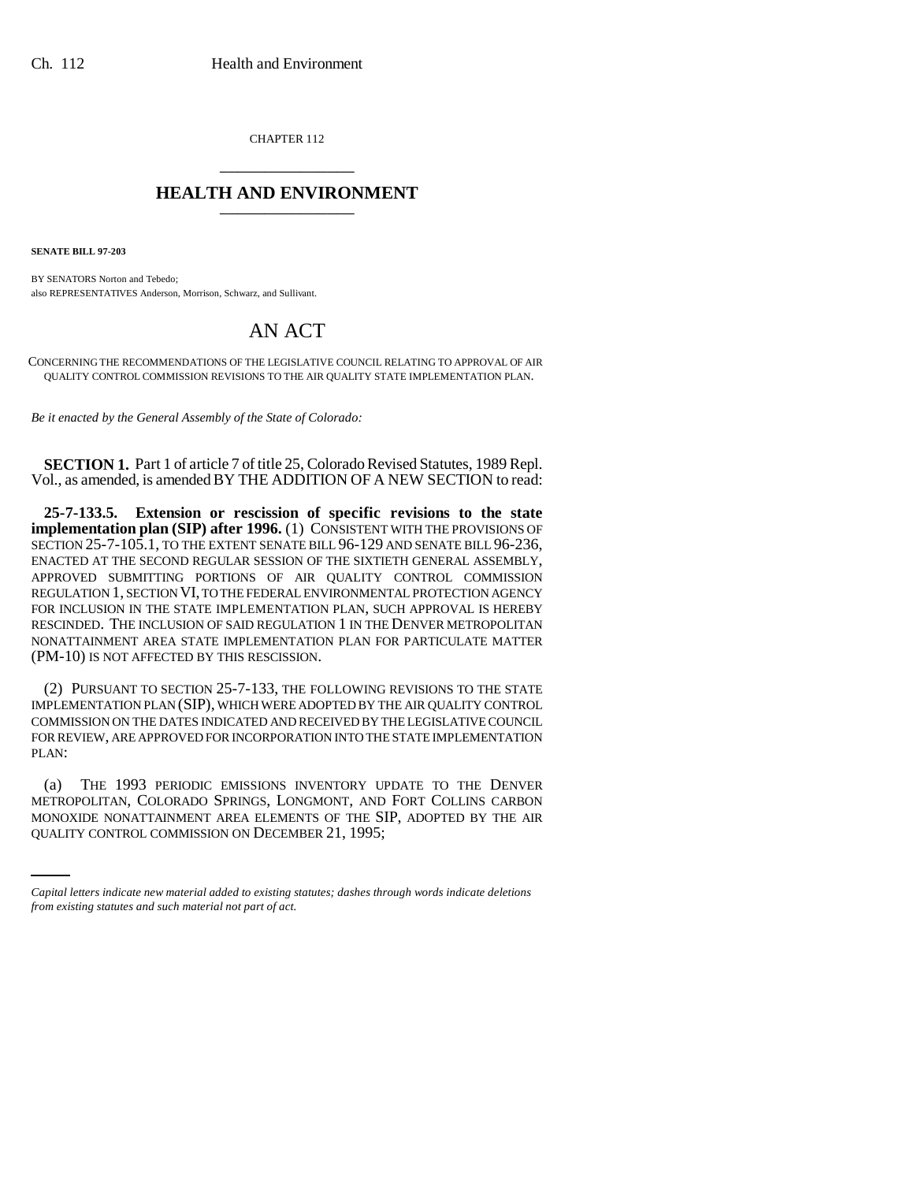CHAPTER 112 \_\_\_\_\_\_\_\_\_\_\_\_\_\_\_

## **HEALTH AND ENVIRONMENT** \_\_\_\_\_\_\_\_\_\_\_\_\_\_\_

**SENATE BILL 97-203**

BY SENATORS Norton and Tebedo; also REPRESENTATIVES Anderson, Morrison, Schwarz, and Sullivant.

## AN ACT

CONCERNING THE RECOMMENDATIONS OF THE LEGISLATIVE COUNCIL RELATING TO APPROVAL OF AIR QUALITY CONTROL COMMISSION REVISIONS TO THE AIR QUALITY STATE IMPLEMENTATION PLAN.

*Be it enacted by the General Assembly of the State of Colorado:*

**SECTION 1.** Part 1 of article 7 of title 25, Colorado Revised Statutes, 1989 Repl. Vol., as amended, is amended BY THE ADDITION OF A NEW SECTION to read:

**25-7-133.5. Extension or rescission of specific revisions to the state implementation plan (SIP) after 1996.** (1) CONSISTENT WITH THE PROVISIONS OF SECTION 25-7-105.1, TO THE EXTENT SENATE BILL 96-129 AND SENATE BILL 96-236, ENACTED AT THE SECOND REGULAR SESSION OF THE SIXTIETH GENERAL ASSEMBLY, APPROVED SUBMITTING PORTIONS OF AIR QUALITY CONTROL COMMISSION REGULATION 1, SECTION VI, TO THE FEDERAL ENVIRONMENTAL PROTECTION AGENCY FOR INCLUSION IN THE STATE IMPLEMENTATION PLAN, SUCH APPROVAL IS HEREBY RESCINDED. THE INCLUSION OF SAID REGULATION 1 IN THE DENVER METROPOLITAN NONATTAINMENT AREA STATE IMPLEMENTATION PLAN FOR PARTICULATE MATTER (PM-10) IS NOT AFFECTED BY THIS RESCISSION.

(2) PURSUANT TO SECTION 25-7-133, THE FOLLOWING REVISIONS TO THE STATE IMPLEMENTATION PLAN (SIP), WHICH WERE ADOPTED BY THE AIR QUALITY CONTROL COMMISSION ON THE DATES INDICATED AND RECEIVED BY THE LEGISLATIVE COUNCIL FOR REVIEW, ARE APPROVED FOR INCORPORATION INTO THE STATE IMPLEMENTATION PLAN:

METROPOLITAN, COLORADO SPRINGS, LONGMONT, AND FORT COLLINS CARBON (a) THE 1993 PERIODIC EMISSIONS INVENTORY UPDATE TO THE DENVER MONOXIDE NONATTAINMENT AREA ELEMENTS OF THE SIP, ADOPTED BY THE AIR QUALITY CONTROL COMMISSION ON DECEMBER 21, 1995;

*Capital letters indicate new material added to existing statutes; dashes through words indicate deletions from existing statutes and such material not part of act.*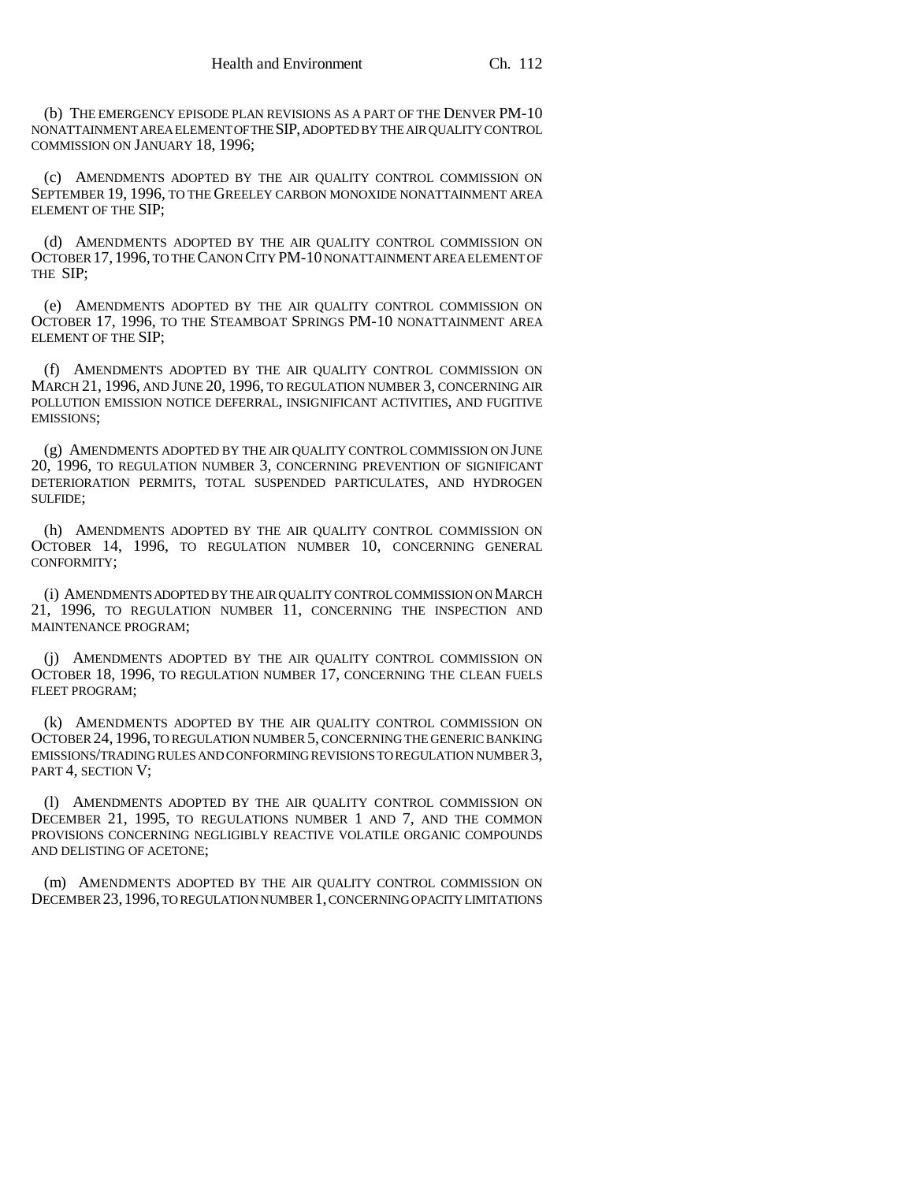(b) THE EMERGENCY EPISODE PLAN REVISIONS AS A PART OF THE DENVER PM-10 NONATTAINMENT AREA ELEMENT OF THE SIP, ADOPTED BY THE AIR QUALITY CONTROL COMMISSION ON JANUARY 18, 1996;

(c) AMENDMENTS ADOPTED BY THE AIR QUALITY CONTROL COMMISSION ON SEPTEMBER 19, 1996, TO THE GREELEY CARBON MONOXIDE NONATTAINMENT AREA ELEMENT OF THE SIP;

(d) AMENDMENTS ADOPTED BY THE AIR QUALITY CONTROL COMMISSION ON OCTOBER 17, 1996, TO THE CANON CITY PM-10 NONATTAINMENT AREA ELEMENT OF THE SIP;

(e) AMENDMENTS ADOPTED BY THE AIR QUALITY CONTROL COMMISSION ON OCTOBER 17, 1996, TO THE STEAMBOAT SPRINGS PM-10 NONATTAINMENT AREA ELEMENT OF THE SIP;

(f) AMENDMENTS ADOPTED BY THE AIR QUALITY CONTROL COMMISSION ON MARCH 21, 1996, AND JUNE 20, 1996, TO REGULATION NUMBER 3, CONCERNING AIR POLLUTION EMISSION NOTICE DEFERRAL, INSIGNIFICANT ACTIVITIES, AND FUGITIVE EMISSIONS;

(g) AMENDMENTS ADOPTED BY THE AIR QUALITY CONTROL COMMISSION ON JUNE 20, 1996, TO REGULATION NUMBER 3, CONCERNING PREVENTION OF SIGNIFICANT DETERIORATION PERMITS, TOTAL SUSPENDED PARTICULATES, AND HYDROGEN SULFIDE;

(h) AMENDMENTS ADOPTED BY THE AIR QUALITY CONTROL COMMISSION ON OCTOBER 14, 1996, TO REGULATION NUMBER 10, CONCERNING GENERAL CONFORMITY;

(i) AMENDMENTS ADOPTED BY THE AIR QUALITY CONTROL COMMISSION ON MARCH 21, 1996, TO REGULATION NUMBER 11, CONCERNING THE INSPECTION AND MAINTENANCE PROGRAM;

(j) AMENDMENTS ADOPTED BY THE AIR QUALITY CONTROL COMMISSION ON OCTOBER 18, 1996, TO REGULATION NUMBER 17, CONCERNING THE CLEAN FUELS FLEET PROGRAM;

(k) AMENDMENTS ADOPTED BY THE AIR QUALITY CONTROL COMMISSION ON OCTOBER 24, 1996, TO REGULATION NUMBER 5, CONCERNING THE GENERIC BANKING EMISSIONS/TRADING RULES AND CONFORMING REVISIONS TO REGULATION NUMBER 3, PART 4, SECTION V;

(l) AMENDMENTS ADOPTED BY THE AIR QUALITY CONTROL COMMISSION ON DECEMBER 21, 1995, TO REGULATIONS NUMBER 1 AND 7, AND THE COMMON PROVISIONS CONCERNING NEGLIGIBLY REACTIVE VOLATILE ORGANIC COMPOUNDS AND DELISTING OF ACETONE;

(m) AMENDMENTS ADOPTED BY THE AIR QUALITY CONTROL COMMISSION ON DECEMBER 23,1996, TO REGULATION NUMBER 1, CONCERNING OPACITY LIMITATIONS